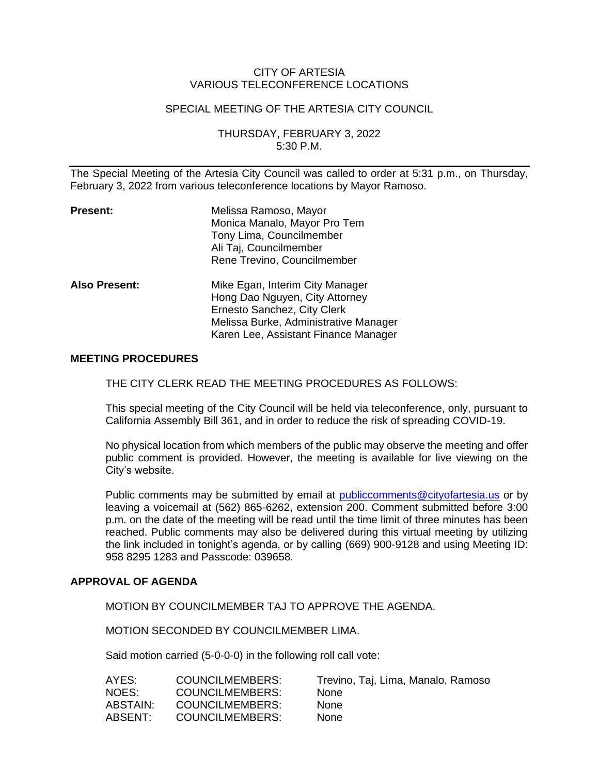### CITY OF ARTESIA VARIOUS TELECONFERENCE LOCATIONS

#### SPECIAL MEETING OF THE ARTESIA CITY COUNCIL

THURSDAY, FEBRUARY 3, 2022 5:30 P.M.

The Special Meeting of the Artesia City Council was called to order at 5:31 p.m., on Thursday, February 3, 2022 from various teleconference locations by Mayor Ramoso.

| <b>Present:</b>      | Melissa Ramoso, Mayor<br>Monica Manalo, Mayor Pro Tem<br>Tony Lima, Councilmember<br>Ali Taj, Councilmember<br>Rene Trevino, Councilmember                                        |
|----------------------|-----------------------------------------------------------------------------------------------------------------------------------------------------------------------------------|
| <b>Also Present:</b> | Mike Egan, Interim City Manager<br>Hong Dao Nguyen, City Attorney<br>Ernesto Sanchez, City Clerk<br>Melissa Burke, Administrative Manager<br>Karen Lee, Assistant Finance Manager |

#### **MEETING PROCEDURES**

THE CITY CLERK READ THE MEETING PROCEDURES AS FOLLOWS:

This special meeting of the City Council will be held via teleconference, only, pursuant to California Assembly Bill 361, and in order to reduce the risk of spreading COVID-19.

No physical location from which members of the public may observe the meeting and offer public comment is provided. However, the meeting is available for live viewing on the City's website.

Public comments may be submitted by email at [publiccomments@cityofartesia.us](mailto:publiccomments@cityofartesia.us) or by leaving a voicemail at (562) 865-6262, extension 200. Comment submitted before 3:00 p.m. on the date of the meeting will be read until the time limit of three minutes has been reached. Public comments may also be delivered during this virtual meeting by utilizing the link included in tonight's agenda, or by calling (669) 900-9128 and using Meeting ID: 958 8295 1283 and Passcode: 039658.

### **APPROVAL OF AGENDA**

MOTION BY COUNCILMEMBER TAJ TO APPROVE THE AGENDA.

MOTION SECONDED BY COUNCILMEMBER LIMA.

Said motion carried (5-0-0-0) in the following roll call vote:

| AYES:    | COUNCILMEMBERS:        | Trevino, Taj, Lima, Manalo, Ramoso |
|----------|------------------------|------------------------------------|
| NOES:    | <b>COUNCILMEMBERS:</b> | <b>None</b>                        |
| ABSTAIN: | <b>COUNCILMEMBERS:</b> | <b>None</b>                        |
| ABSENT:  | <b>COUNCILMEMBERS:</b> | <b>None</b>                        |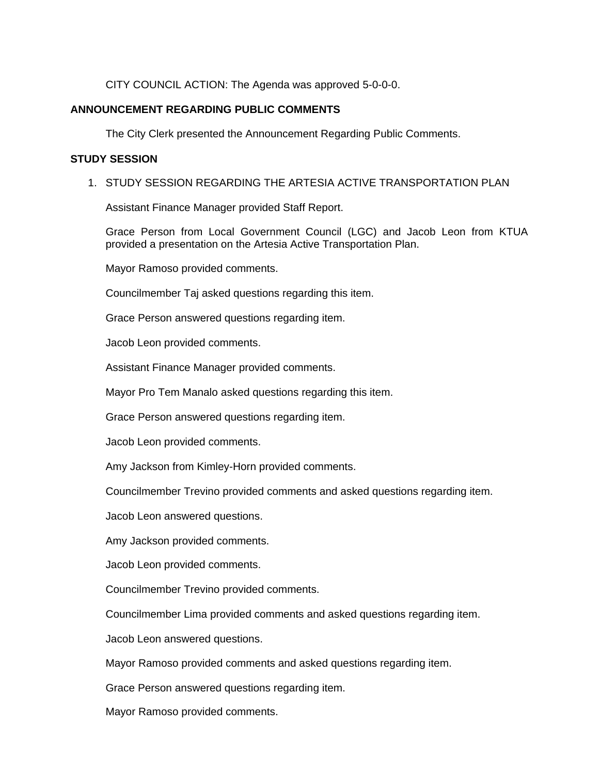CITY COUNCIL ACTION: The Agenda was approved 5-0-0-0.

# **ANNOUNCEMENT REGARDING PUBLIC COMMENTS**

The City Clerk presented the Announcement Regarding Public Comments.

## **STUDY SESSION**

# 1. STUDY SESSION REGARDING THE ARTESIA ACTIVE TRANSPORTATION PLAN

Assistant Finance Manager provided Staff Report.

Grace Person from Local Government Council (LGC) and Jacob Leon from KTUA provided a presentation on the Artesia Active Transportation Plan.

Mayor Ramoso provided comments.

Councilmember Taj asked questions regarding this item.

Grace Person answered questions regarding item.

Jacob Leon provided comments.

Assistant Finance Manager provided comments.

Mayor Pro Tem Manalo asked questions regarding this item.

Grace Person answered questions regarding item.

Jacob Leon provided comments.

Amy Jackson from Kimley-Horn provided comments.

Councilmember Trevino provided comments and asked questions regarding item.

Jacob Leon answered questions.

Amy Jackson provided comments.

Jacob Leon provided comments.

Councilmember Trevino provided comments.

Councilmember Lima provided comments and asked questions regarding item.

Jacob Leon answered questions.

Mayor Ramoso provided comments and asked questions regarding item.

Grace Person answered questions regarding item.

Mayor Ramoso provided comments.